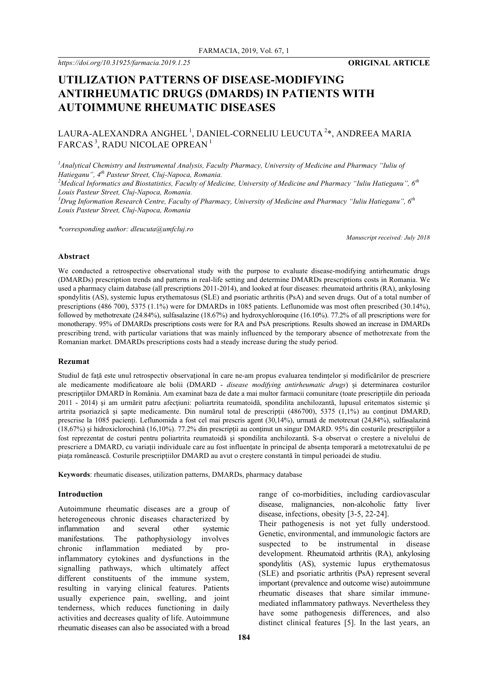*https://doi.org/10.31925/farmacia.2019.1.25* **ORIGINAL ARTICLE**

# **UTILIZATION PATTERNS OF DISEASE-MODIFYING ANTIRHEUMATIC DRUGS (DMARDS) IN PATIENTS WITH AUTOIMMUNE RHEUMATIC DISEASES**

# LAURA-ALEXANDRA ANGHEL $^1$ , DANIEL-CORNELIU LEUCUTA $^{2*}$ , ANDREEA MARIA FARCAS<sup>3</sup>, RADU NICOLAE OPREAN<sup>1</sup>

<sup>1</sup> Analytical Chemistry and Instrumental Analysis, Faculty Pharmacy, University of Medicine and Pharmacy "Iuliu of *Hatieganu", 4th Pasteur Street, Cluj-Napoca, Romania.*

*2 Medical Informatics and Biostatistics, Faculty of Medicine, University of Medicine and Pharmacy "Iuliu Hatieganu", 6th Louis Pasteur Street, Cluj-Napoca, Romania.*

<sup>3</sup> Drug Information Research Centre, Faculty of Pharmacy, University of Medicine and Pharmacy "Iuliu Hatieganu", 6<sup>th</sup> *Louis Pasteur Street, Cluj-Napoca, Romania*

*\*corresponding author: dleucuta@umfcluj.ro*

*Manuscript received: July 2018*

## **Abstract**

We conducted a retrospective observational study with the purpose to evaluate disease-modifying antirheumatic drugs (DMARDs) prescription trends and patterns in real-life setting and determine DMARDs prescriptions costs in Romania. We used a pharmacy claim database (all prescriptions 2011-2014), and looked at four diseases: rheumatoid arthritis (RA), ankylosing spondylitis (AS), systemic lupus erythematosus (SLE) and psoriatic arthritis (PsA) and seven drugs. Out of a total number of prescriptions (486 700), 5375 (1.1%) were for DMARDs in 1085 patients. Leflunomide was most often prescribed (30.14%), followed by methotrexate (24.84%), sulfasalazine (18.67%) and hydroxychloroquine (16.10%). 77.2% of all prescriptions were for monotherapy. 95% of DMARDs prescriptions costs were for RA and PsA prescriptions. Results showed an increase in DMARDs prescribing trend, with particular variations that was mainly influenced by the temporary absence of methotrexate from the Romanian market. DMARDs prescriptions costs had a steady increase during the study period.

#### **Rezumat**

Studiul de față este unul retrospectiv observațional în care ne-am propus evaluarea tendințelor și modificărilor de prescriere ale medicamente modificatoare ale bolii (DMARD - *disease modifying antirheumatic drugs*) și determinarea costurilor prescripţiilor DMARD în România. Am examinat baza de date a mai multor farmacii comunitare (toate prescripțiile din perioada 2011 - 2014) şi am urmărit patru afecţiuni: poliartrita reumatoidă, spondilita anchilozantă, lupusul eritematos sistemic și artrita psoriazică și șapte medicamente. Din numărul total de prescripții (486700), 5375 (1,1%) au conţinut DMARD, prescrise la 1085 pacienți. Leflunomida a fost cel mai prescris agent (30,14%), urmată de metotrexat (24,84%), sulfasalazină  $(18,67%)$  și hidroxiclorochină  $(16,10%)$ . 77.2% din prescripții au conținut un singur DMARD. 95% din costurile prescripțiilor a fost reprezentat de costuri pentru poliartrita reumatoidă şi spondilita anchilozantă. S-a observat o creștere a nivelului de prescriere a DMARD, cu variații individuale care au fost influențate în principal de absența temporară a metotrexatului de pe piața românească. Costurile prescripțiilor DMARD au avut o creștere constantă în timpul perioadei de studiu.

**Keywords**: rheumatic diseases, utilization patterns, DMARDs, pharmacy database

#### **Introduction**

Autoimmune rheumatic diseases are a group of heterogeneous chronic diseases characterized by inflammation and several other systemic manifestations. The pathophysiology involves chronic inflammation mediated by proinflammatory cytokines and dysfunctions in the signalling pathways, which ultimately affect different constituents of the immune system, resulting in varying clinical features. Patients usually experience pain, swelling, and joint tenderness, which reduces functioning in daily activities and decreases quality of life. Autoimmune rheumatic diseases can also be associated with a broad range of co-morbidities, including cardiovascular disease, malignancies, non-alcoholic fatty liver disease, infections, obesity [3-5, 22-24].

Their pathogenesis is not yet fully understood. Genetic, environmental, and immunologic factors are suspected to be instrumental in disease development. Rheumatoid arthritis (RA), ankylosing spondylitis (AS), systemic lupus erythematosus (SLE) and psoriatic arthritis (PsA) represent several important (prevalence and outcome wise) autoimmune rheumatic diseases that share similar immunemediated inflammatory pathways. Nevertheless they have some pathogenesis differences, and also distinct clinical features [5]. In the last years, an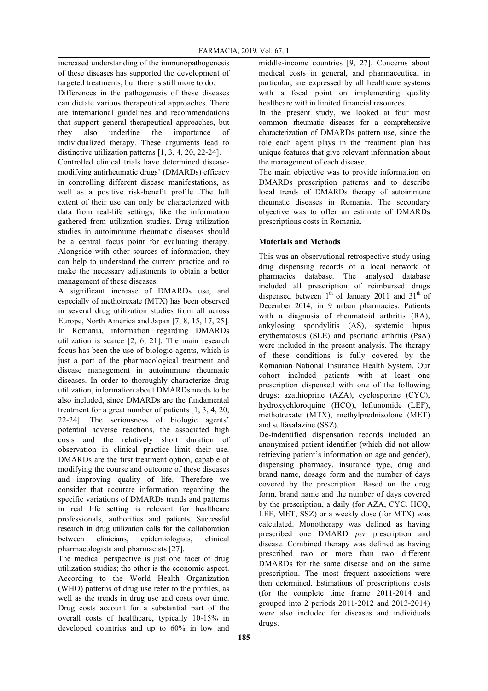increased understanding of the immunopathogenesis of these diseases has supported the development of targeted treatments, but there is still more to do.

Differences in the pathogenesis of these diseases can dictate various therapeutical approaches. There are international guidelines and recommendations that support general therapeutical approaches, but they also underline the importance of individualized therapy. These arguments lead to distinctive utilization patterns [1, 3, 4, 20, 22-24].

Controlled clinical trials have determined diseasemodifying antirheumatic drugs' (DMARDs) efficacy in controlling different disease manifestations, as well as a positive risk-benefit profile .The full extent of their use can only be characterized with data from real-life settings, like the information gathered from utilization studies. Drug utilization studies in autoimmune rheumatic diseases should be a central focus point for evaluating therapy. Alongside with other sources of information, they can help to understand the current practice and to make the necessary adjustments to obtain a better management of these diseases.

A significant increase of DMARDs use, and especially of methotrexate (MTX) has been observed in several drug utilization studies from all across Europe, North America and Japan [7, 8, 15, 17, 25]. In Romania, information regarding DMARDs utilization is scarce [2, 6, 21]. The main research focus has been the use of biologic agents, which is just a part of the pharmacological treatment and disease management in autoimmune rheumatic diseases. In order to thoroughly characterize drug utilization, information about DMARDs needs to be also included, since DMARDs are the fundamental treatment for a great number of patients [1, 3, 4, 20, 22-24]. The seriousness of biologic agents' potential adverse reactions, the associated high costs and the relatively short duration of observation in clinical practice limit their use. DMARDs are the first treatment option, capable of modifying the course and outcome of these diseases and improving quality of life. Therefore we consider that accurate information regarding the specific variations of DMARDs trends and patterns in real life setting is relevant for healthcare professionals, authorities and patients. Successful research in drug utilization calls for the collaboration between clinicians, epidemiologists, clinical pharmacologists and pharmacists [27].

The medical perspective is just one facet of drug utilization studies; the other is the economic aspect. According to the World Health Organization (WHO) patterns of drug use refer to the profiles, as well as the trends in drug use and costs over time. Drug costs account for a substantial part of the overall costs of healthcare, typically 10-15% in developed countries and up to 60% in low and

middle-income countries [9, 27]. Concerns about medical costs in general, and pharmaceutical in particular, are expressed by all healthcare systems with a focal point on implementing quality healthcare within limited financial resources.

In the present study, we looked at four most common rheumatic diseases for a comprehensive characterization of DMARDs pattern use, since the role each agent plays in the treatment plan has unique features that give relevant information about the management of each disease.

The main objective was to provide information on DMARDs prescription patterns and to describe local trends of DMARDs therapy of autoimmune rheumatic diseases in Romania. The secondary objective was to offer an estimate of DMARDs prescriptions costs in Romania.

# **Materials and Methods**

This was an observational retrospective study using drug dispensing records of a local network of pharmacies database. The analysed database included all prescription of reimbursed drugs dispensed between  $1<sup>th</sup>$  of January 2011 and 31<sup>th</sup> of December 2014, in 9 urban pharmacies. Patients with a diagnosis of rheumatoid arthritis (RA), ankylosing spondylitis (AS), systemic lupus erythematosus (SLE) and psoriatic arthritis (PsA) were included in the present analysis. The therapy of these conditions is fully covered by the Romanian National Insurance Health System. Our cohort included patients with at least one prescription dispensed with one of the following drugs: azathioprine (AZA), cyclosporine (CYC), hydroxychloroquine (HCQ), leflunomide (LEF), methotrexate (MTX), methylprednisolone (MET) and sulfasalazine (SSZ).

De-indentified dispensation records included an anonymised patient identifier (which did not allow retrieving patient's information on age and gender), dispensing pharmacy, insurance type, drug and brand name, dosage form and the number of days covered by the prescription. Based on the drug form, brand name and the number of days covered by the prescription, a daily (for AZA, CYC, HCQ, LEF, MET, SSZ) or a weekly dose (for MTX) was calculated. Monotherapy was defined as having prescribed one DMARD *per* prescription and disease. Combined therapy was defined as having prescribed two or more than two different DMARDs for the same disease and on the same prescription. The most frequent associations were then determined. Estimations of prescriptions costs (for the complete time frame 2011-2014 and grouped into 2 periods 2011-2012 and 2013-2014) were also included for diseases and individuals drugs.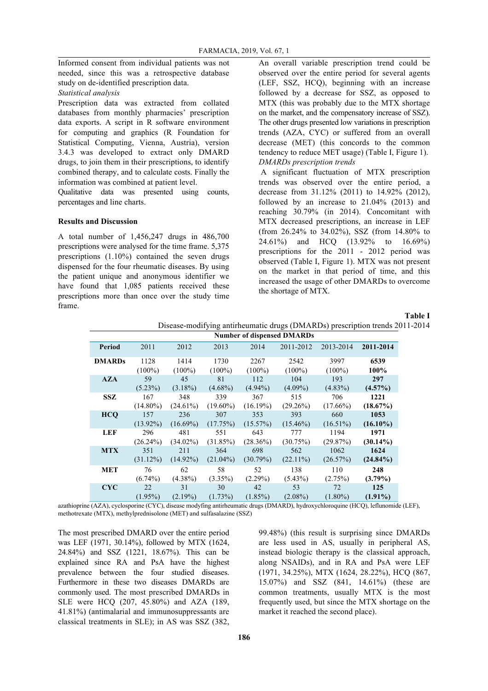Informed consent from individual patients was not needed, since this was a retrospective database study on de-identified prescription data.

*Statistical analysis* 

Prescription data was extracted from collated databases from monthly pharmacies' prescription data exports. A script in R software environment for computing and graphics (R Foundation for Statistical Computing, Vienna, Austria), version 3.4.3 was developed to extract only DMARD drugs, to join them in their prescriptions, to identify combined therapy, and to calculate costs. Finally the information was combined at patient level.

Qualitative data was presented using counts, percentages and line charts.

### **Results and Discussion**

A total number of 1,456,247 drugs in 486,700 prescriptions were analysed for the time frame. 5,375 prescriptions (1.10%) contained the seven drugs dispensed for the four rheumatic diseases. By using the patient unique and anonymous identifier we have found that 1,085 patients received these prescriptions more than once over the study time frame.

An overall variable prescription trend could be observed over the entire period for several agents (LEF, SSZ, HCQ), beginning with an increase followed by a decrease for SSZ, as opposed to MTX (this was probably due to the MTX shortage on the market, and the compensatory increase of SSZ). The other drugs presented low variations in prescription trends (AZA, CYC) or suffered from an overall decrease (MET) (this concords to the common tendency to reduce MET usage) (Table I, Figure 1). *DMARDs prescription trends*

A significant fluctuation of MTX prescription trends was observed over the entire period, a decrease from 31.12% (2011) to 14.92% (2012), followed by an increase to 21.04% (2013) and reaching 30.79% (in 2014). Concomitant with MTX decreased prescriptions, an increase in LEF (from 26.24% to 34.02%), SSZ (from 14.80% to 24.61%) and HCQ (13.92% to 16.69%) prescriptions for the 2011 - 2012 period was observed (Table I, Figure 1). MTX was not present on the market in that period of time, and this increased the usage of other DMARDs to overcome the shortage of MTX.

#### **Table I**

Disease-modifying antirheumatic drugs (DMARDs) prescription trends 2011-2014

|               | <b>Number of dispensed DMARDs</b> |             |             |             |             |             |             |
|---------------|-----------------------------------|-------------|-------------|-------------|-------------|-------------|-------------|
| Period        | 2011                              | 2012        | 2013        | 2014        | 2011-2012   | 2013-2014   | 2011-2014   |
| <b>DMARDs</b> | 1128                              | 1414        | 1730        | 2267        | 2542        | 3997        | 6539        |
|               | $(100\%)$                         | $(100\%)$   | $(100\%)$   | $(100\%)$   | $(100\%)$   | $(100\%)$   | 100%        |
| <b>AZA</b>    | 59                                | 45          | 81          | 112         | 104         | 193         | 297         |
|               | $(5.23\%)$                        | $(3.18\%)$  | $(4.68\%)$  | $(4.94\%)$  | $(4.09\%)$  | $(4.83\%)$  | $(4.57\%)$  |
| <b>SSZ</b>    | 167                               | 348         | 339         | 367         | 515         | 706         | 1221        |
|               | $(14.80\%)$                       | $(24.61\%)$ | $(19.60\%)$ | $(16.19\%)$ | $(29.26\%)$ | $(17.66\%)$ | $(18.67\%)$ |
| <b>HCO</b>    | 157                               | 236         | 307         | 353         | 393         | 660         | 1053        |
|               | $(13.92\%)$                       | $(16.69\%)$ | (17.75%)    | $(15.57\%)$ | $(15.46\%)$ | $(16.51\%)$ | $(16.10\%)$ |
| LEF           | 296                               | 481         | 551         | 643         | 777         | 1194        | 1971        |
|               | $(26.24\%)$                       | $(34.02\%)$ | (31.85%)    | $(28.36\%)$ | (30.75%)    | (29.87%)    | $(30.14\%)$ |
| <b>MTX</b>    | 351                               | 211         | 364         | 698         | 562         | 1062        | 1624        |
|               | $(31.12\%)$                       | $(14.92\%)$ | $(21.04\%)$ | (30.79%)    | $(22.11\%)$ | (26.57%)    | $(24.84\%)$ |
| <b>MET</b>    | 76                                | 62          | 58          | 52          | 138         | 110         | 248         |
|               | $(6.74\%)$                        | $(4.38\%)$  | $(3.35\%)$  | $(2.29\%)$  | $(5.43\%)$  | (2.75%)     | $(3.79\%)$  |
| <b>CYC</b>    | 22                                | 31          | 30          | 42          | 53          | 72          | 125         |
|               | $(1.95\%)$                        | $(2.19\%)$  | $(1.73\%)$  | $(1.85\%)$  | $(2.08\%)$  | $(1.80\%)$  | $(1.91\%)$  |

azathioprine (AZA), cyclosporine (CYC), disease modyfing antirheumatic drugs (DMARD), hydroxychloroquine (HCQ), leflunomide (LEF), methotrexate (MTX), methylprednisolone (MET) and sulfasalazine (SSZ)

The most prescribed DMARD over the entire period was LEF (1971, 30.14%), followed by MTX (1624, 24.84%) and SSZ (1221, 18.67%). This can be explained since RA and PsA have the highest prevalence between the four studied diseases. Furthermore in these two diseases DMARDs are commonly used. The most prescribed DMARDs in SLE were HCQ (207, 45.80%) and AZA (189, 41.81%) (antimalarial and immunosuppressants are classical treatments in SLE); in AS was SSZ (382,

99.48%) (this result is surprising since DMARDs are less used in AS, usually in peripheral AS, instead biologic therapy is the classical approach, along NSAIDs), and in RA and PsA were LEF (1971, 34.25%), MTX (1624, 28.22%), HCQ (867, 15.07%) and SSZ (841, 14.61%) (these are common treatments, usually MTX is the most frequently used, but since the MTX shortage on the market it reached the second place).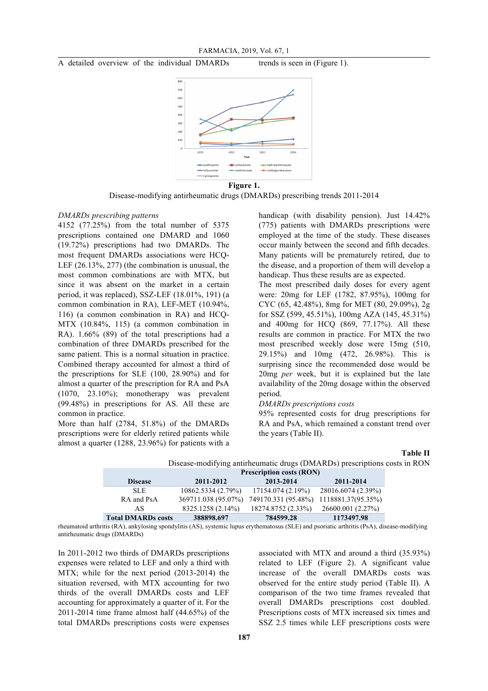

Disease-modifying antirheumatic drugs (DMARDs) prescribing trends 2011-2014

#### *DMARDs prescribing patterns*

4152 (77.25%) from the total number of 5375 prescriptions contained one DMARD and 1060 (19.72%) prescriptions had two DMARDs. The most frequent DMARDs associations were HCQ-LEF (26.13%, 277) (the combination is unusual, the most common combinations are with MTX, but since it was absent on the market in a certain period, it was replaced), SSZ-LEF (18.01%, 191) (a common combination in RA), LEF-MET (10.94%, 116) (a common combination in RA) and HCQ-MTX (10.84%, 115) (a common combination in RA). 1.66% (89) of the total prescriptions had a combination of three DMARDs prescribed for the same patient. This is a normal situation in practice. Combined therapy accounted for almost a third of the prescriptions for SLE (100, 28.90%) and for almost a quarter of the prescription for RA and PsA (1070, 23.10%); monotherapy was prevalent (99.48%) in prescriptions for AS. All these are common in practice.

More than half (2784, 51.8%) of the DMARDs prescriptions were for elderly retired patients while almost a quarter (1288, 23.96%) for patients with a

handicap (with disability pension). Just 14.42% (775) patients with DMARDs prescriptions were employed at the time of the study. These diseases occur mainly between the second and fifth decades. Many patients will be prematurely retired, due to the disease, and a proportion of them will develop a handicap. Thus these results are as expected.

The most prescribed daily doses for every agent were: 20mg for LEF (1782, 87.95%), 100mg for CYC (65, 42.48%), 8mg for MET (80, 29.09%), 2g for SSZ (599, 45.51%), 100mg AZA (145, 45.31%) and 400mg for HCQ (869, 77.17%). All these results are common in practice. For MTX the two most prescribed weekly dose were 15mg (510, 29.15%) and 10mg (472, 26.98%). This is surprising since the recommended dose would be 20mg *per* week, but it is explained but the late availability of the 20mg dosage within the observed period.

## *DMARDs prescriptions costs*

95% represented costs for drug prescriptions for RA and PsA, which remained a constant trend over the years (Table II).

#### **Table II**

```
Disease-modifying antirheumatic drugs (DMARDs) prescriptions costs in RON
```

|                           | <b>Prescription costs (RON)</b> |                     |                    |  |  |  |
|---------------------------|---------------------------------|---------------------|--------------------|--|--|--|
| <b>Disease</b>            | 2011-2012                       | 2013-2014           | 2011-2014          |  |  |  |
| SLE.                      | 10862.5334 (2.79%)              | 17154.074 (2.19%)   | 28016.6074 (2.39%) |  |  |  |
| RA and PsA                | 369711.038 (95.07%)             | 749170.331 (95.48%) | 1118881.37(95.35%) |  |  |  |
| AS.                       | 8325.1258 (2.14%)               | 18274.8752 (2.33%)  | 26600.001 (2.27%)  |  |  |  |
| <b>Total DMARDs costs</b> | 388898.697                      | 784599.28           | 1173497.98         |  |  |  |

rheumatoid arthritis (RA), ankylosing spondylitis (AS), systemic lupus erythematosus (SLE) and psoriatic arthritis (PsA), disease-modifying antirheumatic drugs (DMARDs)

In 2011-2012 two thirds of DMARDs prescriptions expenses were related to LEF and only a third with MTX; while for the next period (2013-2014) the situation reversed, with MTX accounting for two thirds of the overall DMARDs costs and LEF accounting for approximately a quarter of it. For the 2011-2014 time frame almost half (44.65%) of the total DMARDs prescriptions costs were expenses

associated with MTX and around a third (35.93%) related to LEF (Figure 2). A significant value increase of the overall DMARDs costs was observed for the entire study period (Table II). A comparison of the two time frames revealed that overall DMARDs prescriptions cost doubled. Prescriptions costs of MTX increased six times and SSZ 2.5 times while LEF prescriptions costs were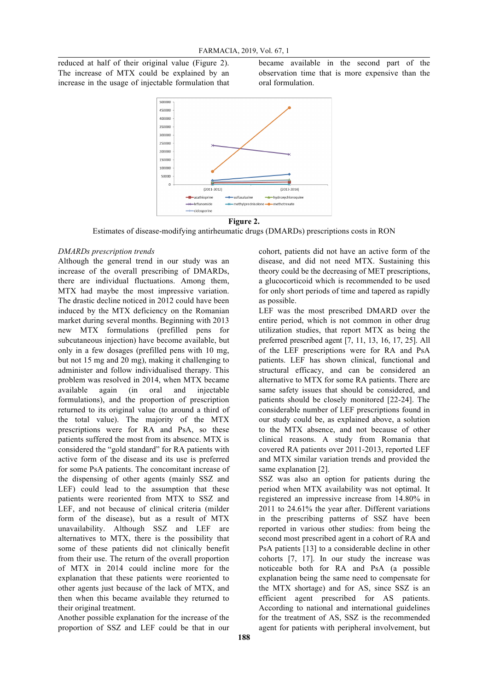reduced at half of their original value (Figure 2). The increase of MTX could be explained by an increase in the usage of injectable formulation that became available in the second part of the observation time that is more expensive than the oral formulation.



Estimates of disease-modifying antirheumatic drugs (DMARDs) prescriptions costs in RON

#### *DMARDs prescription trends*

Although the general trend in our study was an increase of the overall prescribing of DMARDs, there are individual fluctuations. Among them, MTX had maybe the most impressive variation. The drastic decline noticed in 2012 could have been induced by the MTX deficiency on the Romanian market during several months. Beginning with 2013 new MTX formulations (prefilled pens for subcutaneous injection) have become available, but only in a few dosages (prefilled pens with 10 mg, but not 15 mg and 20 mg), making it challenging to administer and follow individualised therapy. This problem was resolved in 2014, when MTX became available again (in oral and injectable formulations), and the proportion of prescription returned to its original value (to around a third of the total value). The majority of the MTX prescriptions were for RA and PsA, so these patients suffered the most from its absence. MTX is considered the "gold standard" for RA patients with active form of the disease and its use is preferred for some PsA patients. The concomitant increase of the dispensing of other agents (mainly SSZ and LEF) could lead to the assumption that these patients were reoriented from MTX to SSZ and LEF, and not because of clinical criteria (milder form of the disease), but as a result of MTX unavailability. Although SSZ and LEF are alternatives to MTX, there is the possibility that some of these patients did not clinically benefit from their use. The return of the overall proportion of MTX in 2014 could incline more for the explanation that these patients were reoriented to other agents just because of the lack of MTX, and then when this became available they returned to their original treatment.

Another possible explanation for the increase of the proportion of SSZ and LEF could be that in our

cohort, patients did not have an active form of the disease, and did not need MTX. Sustaining this theory could be the decreasing of MET prescriptions, a glucocorticoid which is recommended to be used for only short periods of time and tapered as rapidly as possible.

LEF was the most prescribed DMARD over the entire period, which is not common in other drug utilization studies, that report MTX as being the preferred prescribed agent [7, 11, 13, 16, 17, 25]. All of the LEF prescriptions were for RA and PsA patients. LEF has shown clinical, functional and structural efficacy, and can be considered an alternative to MTX for some RA patients. There are same safety issues that should be considered, and patients should be closely monitored [22-24]. The considerable number of LEF prescriptions found in our study could be, as explained above, a solution to the MTX absence, and not because of other clinical reasons. A study from Romania that covered RA patients over 2011-2013, reported LEF and MTX similar variation trends and provided the same explanation [2].

SSZ was also an option for patients during the period when MTX availability was not optimal. It registered an impressive increase from 14.80% in 2011 to 24.61% the year after. Different variations in the prescribing patterns of SSZ have been reported in various other studies: from being the second most prescribed agent in a cohort of RA and PsA patients [13] to a considerable decline in other cohorts [7, 17]. In our study the increase was noticeable both for RA and PsA (a possible explanation being the same need to compensate for the MTX shortage) and for AS, since SSZ is an efficient agent prescribed for AS patients. According to national and international guidelines for the treatment of AS, SSZ is the recommended agent for patients with peripheral involvement, but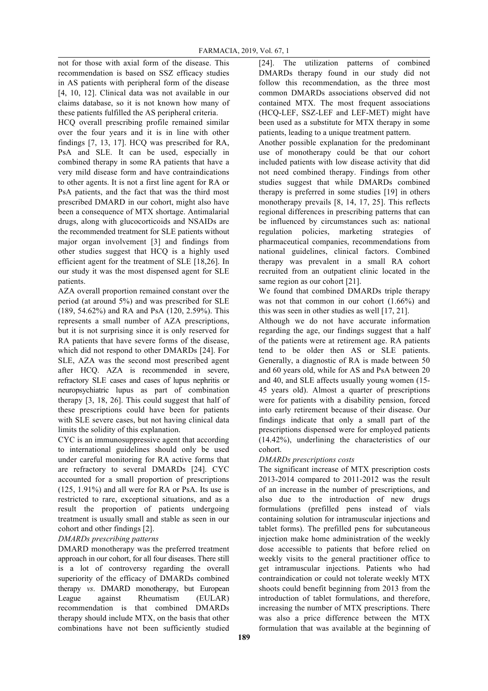not for those with axial form of the disease. This recommendation is based on SSZ efficacy studies in AS patients with peripheral form of the disease [4, 10, 12]. Clinical data was not available in our claims database, so it is not known how many of these patients fulfilled the AS peripheral criteria.

HCQ overall prescribing profile remained similar over the four years and it is in line with other findings [7, 13, 17]. HCQ was prescribed for RA, PsA and SLE. It can be used, especially in combined therapy in some RA patients that have a very mild disease form and have contraindications to other agents. It is not a first line agent for RA or PsA patients, and the fact that was the third most prescribed DMARD in our cohort, might also have been a consequence of MTX shortage. Antimalarial drugs, along with glucocorticoids and NSAIDs are the recommended treatment for SLE patients without major organ involvement [3] and findings from other studies suggest that HCQ is a highly used efficient agent for the treatment of SLE [18,26]. In our study it was the most dispensed agent for SLE patients.

AZA overall proportion remained constant over the period (at around 5%) and was prescribed for SLE (189, 54.62%) and RA and PsA (120, 2.59%). This represents a small number of AZA prescriptions, but it is not surprising since it is only reserved for RA patients that have severe forms of the disease, which did not respond to other DMARDs [24]. For SLE, AZA was the second most prescribed agent after HCQ. AZA is recommended in severe, refractory SLE cases and cases of lupus nephritis or neuropsychiatric lupus as part of combination therapy [3, 18, 26]. This could suggest that half of these prescriptions could have been for patients with SLE severe cases, but not having clinical data limits the solidity of this explanation.

CYC is an immunosuppressive agent that according to international guidelines should only be used under careful monitoring for RA active forms that are refractory to several DMARDs [24]. CYC accounted for a small proportion of prescriptions (125, 1.91%) and all were for RA or PsA. Its use is restricted to rare, exceptional situations, and as a result the proportion of patients undergoing treatment is usually small and stable as seen in our cohort and other findings [2].

# *DMARDs prescribing patterns*

DMARD monotherapy was the preferred treatment approach in our cohort, for all four diseases. There still is a lot of controversy regarding the overall superiority of the efficacy of DMARDs combined therapy *vs*. DMARD monotherapy, but European League against Rheumatism (EULAR) recommendation is that combined DMARDs therapy should include MTX, on the basis that other combinations have not been sufficiently studied

[24]. The utilization patterns of combined DMARDs therapy found in our study did not follow this recommendation, as the three most common DMARDs associations observed did not contained MTX. The most frequent associations (HCQ-LEF, SSZ-LEF and LEF-MET) might have been used as a substitute for MTX therapy in some patients, leading to a unique treatment pattern.

Another possible explanation for the predominant use of monotherapy could be that our cohort included patients with low disease activity that did not need combined therapy. Findings from other studies suggest that while DMARDs combined therapy is preferred in some studies [19] in others monotherapy prevails [8, 14, 17, 25]. This reflects regional differences in prescribing patterns that can be influenced by circumstances such as: national regulation policies, marketing strategies of pharmaceutical companies, recommendations from national guidelines, clinical factors. Combined therapy was prevalent in a small RA cohort recruited from an outpatient clinic located in the same region as our cohort [21].

We found that combined DMARDs triple therapy was not that common in our cohort (1.66%) and this was seen in other studies as well [17, 21].

Although we do not have accurate information regarding the age, our findings suggest that a half of the patients were at retirement age. RA patients tend to be older then AS or SLE patients. Generally, a diagnostic of RA is made between 50 and 60 years old, while for AS and PsA between 20 and 40, and SLE affects usually young women (15- 45 years old). Almost a quarter of prescriptions were for patients with a disability pension, forced into early retirement because of their disease. Our findings indicate that only a small part of the prescriptions dispensed were for employed patients (14.42%), underlining the characteristics of our cohort.

# *DMARDs prescriptions costs*

The significant increase of MTX prescription costs 2013-2014 compared to 2011-2012 was the result of an increase in the number of prescriptions, and also due to the introduction of new drugs formulations (prefilled pens instead of vials containing solution for intramuscular injections and tablet forms). The prefilled pens for subcutaneous injection make home administration of the weekly dose accessible to patients that before relied on weekly visits to the general practitioner office to get intramuscular injections. Patients who had contraindication or could not tolerate weekly MTX shoots could benefit beginning from 2013 from the introduction of tablet formulations, and therefore, increasing the number of MTX prescriptions. There was also a price difference between the MTX formulation that was available at the beginning of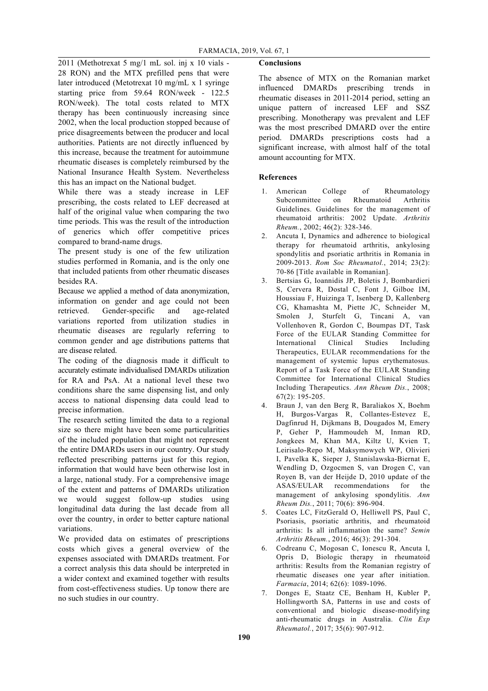2011 (Methotrexat 5 mg/1 mL sol. inj x 10 vials - 28 RON) and the MTX prefilled pens that were later introduced (Metotrexat 10 mg/mL x 1 syringe starting price from 59.64 RON/week - 122.5 RON/week). The total costs related to MTX therapy has been continuously increasing since 2002, when the local production stopped because of price disagreements between the producer and local authorities. Patients are not directly influenced by this increase, because the treatment for autoimmune rheumatic diseases is completely reimbursed by the National Insurance Health System. Nevertheless this has an impact on the National budget.

While there was a steady increase in LEF prescribing, the costs related to LEF decreased at half of the original value when comparing the two time periods. This was the result of the introduction of generics which offer competitive prices compared to brand-name drugs.

The present study is one of the few utilization studies performed in Romania, and is the only one that included patients from other rheumatic diseases besides RA.

Because we applied a method of data anonymization, information on gender and age could not been retrieved. Gender-specific and age-related variations reported from utilization studies in rheumatic diseases are regularly referring to common gender and age distributions patterns that are disease related.

The coding of the diagnosis made it difficult to accurately estimate individualised DMARDs utilization for RA and PsA. At a national level these two conditions share the same dispensing list, and only access to national dispensing data could lead to precise information.

The research setting limited the data to a regional size so there might have been some particularities of the included population that might not represent the entire DMARDs users in our country. Our study reflected prescribing patterns just for this region, information that would have been otherwise lost in a large, national study. For a comprehensive image of the extent and patterns of DMARDs utilization we would suggest follow-up studies using longitudinal data during the last decade from all over the country, in order to better capture national variations.

We provided data on estimates of prescriptions costs which gives a general overview of the expenses associated with DMARDs treatment. For a correct analysis this data should be interpreted in a wider context and examined together with results from cost-effectiveness studies. Up tonow there are no such studies in our country.

# **Conclusions**

The absence of MTX on the Romanian market influenced DMARDs prescribing trends in rheumatic diseases in 2011-2014 period, setting an unique pattern of increased LEF and SSZ prescribing. Monotherapy was prevalent and LEF was the most prescribed DMARD over the entire period. DMARDs prescriptions costs had a significant increase, with almost half of the total amount accounting for MTX.

# **References**

- 1. American College of Rheumatology Subcommittee on Rheumatoid Arthritis Guidelines. Guidelines for the management of rheumatoid arthritis: 2002 Update. *Arthritis Rheum.*, 2002; 46(2): 328-346.
- 2. Ancuta I, Dynamics and adherence to biological therapy for rheumatoid arthritis, ankylosing spondylitis and psoriatic arthritis in Romania in 2009-2013. *Rom Soc Rheumatol.*, 2014; 23(2): 70-86 [Title available in Romanian].
- 3. Bertsias G, Ioannidis JP, Boletis J, Bombardieri S, Cervera R, Dostal C, Font J, Gilboe IM, Houssiau F, Huizinga T, Isenberg D, Kallenberg CG, Khamashta M, Piette JC, Schneider M, Smolen J, Sturfelt G, Tincani A, van Vollenhoven R, Gordon C, Boumpas DT, Task Force of the EULAR Standing Committee for International Clinical Studies Including Therapeutics, EULAR recommendations for the management of systemic lupus erythematosus. Report of a Task Force of the EULAR Standing Committee for International Clinical Studies Including Therapeutics. *Ann Rheum Dis.*, 2008; 67(2): 195-205.
- 4. Braun J, van den Berg R, Baraliakos X, Boehm H, Burgos-Vargas R, Collantes-Estevez E, Dagfinrud H, Dijkmans B, Dougados M, Emery P, Geher P, Hammoudeh M, Inman RD, Jongkees M, Khan MA, Kiltz U, Kvien T, Leirisalo-Repo M, Maksymowych WP, Olivieri I, Pavelka K, Sieper J, Stanislawska-Biernat E, Wendling D, Ozgocmen S, van Drogen C, van Royen B, van der Heijde D, 2010 update of the ASAS/EULAR recommendations for the management of ankylosing spondylitis. *Ann Rheum Dis.*, 2011; 70(6): 896-904.
- 5. Coates LC, FitzGerald O, Helliwell PS, Paul C, Psoriasis, psoriatic arthritis, and rheumatoid arthritis: Is all inflammation the same? *Semin Arthritis Rheum.*, 2016; 46(3): 291-304.
- 6. Codreanu C, Mogosan C, Ionescu R, Ancuta I, Opris D, Biologic therapy in rheumatoid arthritis: Results from the Romanian registry of rheumatic diseases one year after initiation. *Farmacia*, 2014; 62(6): 1089-1096.
- 7. Donges E, Staatz CE, Benham H, Kubler P, Hollingworth SA, Patterns in use and costs of conventional and biologic disease-modifying anti-rheumatic drugs in Australia. *Clin Exp Rheumatol.*, 2017; 35(6): 907-912.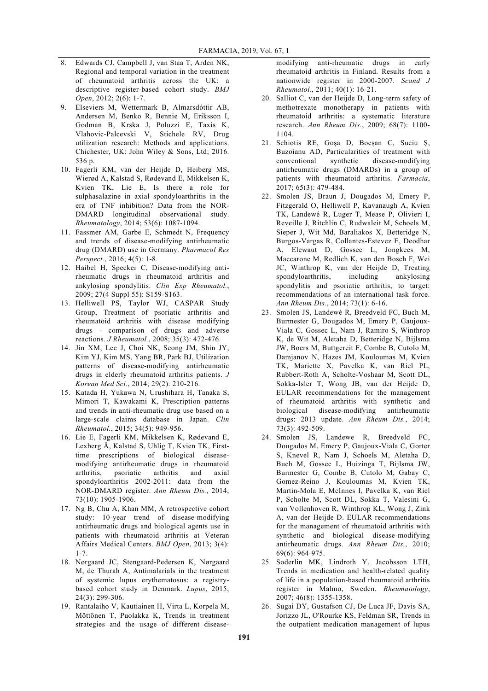- 8. Edwards CJ, Campbell J, van Staa T, Arden NK, Regional and temporal variation in the treatment of rheumatoid arthritis across the UK: a descriptive register-based cohort study. *BMJ Open*, 2012; 2(6): 1-7.
- 9. Elseviers M, Wettermark B, Almarsdóttir AB, Andersen M, Benko R, Bennie M, Eriksson I, Godman B, Krska J, Poluzzi E, Taxis K, Vlahovic-Palcevski V, Stichele RV, Drug utilization research: Methods and applications. Chichester, UK: John Wiley & Sons, Ltd; 2016. 536 p.
- 10. Fagerli KM, van der Heijde D, Heiberg MS, Wierød A, Kalstad S, Rødevand E, Mikkelsen K, Kvien TK, Lie E, Is there a role for sulphasalazine in axial spondyloarthritis in the era of TNF inhibition? Data from the NOR-DMARD longitudinal observational study. *Rheumatology*, 2014; 53(6): 1087-1094.
- 11. Fassmer AM, Garbe E, Schmedt N, Frequency and trends of disease-modifying antirheumatic drug (DMARD) use in Germany. *Pharmacol Res Perspect.*, 2016; 4(5): 1-8.
- 12. Haibel H, Specker C, Disease-modifying antirheumatic drugs in rheumatoid arthritis and ankylosing spondylitis. *Clin Exp Rheumatol.*, 2009; 27(4 Suppl 55): S159-S163.
- 13. Helliwell PS, Taylor WJ, CASPAR Study Group, Treatment of psoriatic arthritis and rheumatoid arthritis with disease modifying drugs - comparison of drugs and adverse reactions. *J Rheumatol.*, 2008; 35(3): 472-476.
- 14. Jin XM, Lee J, Choi NK, Seong JM, Shin JY, Kim YJ, Kim MS, Yang BR, Park BJ, Utilization patterns of disease-modifying antirheumatic drugs in elderly rheumatoid arthritis patients. *J Korean Med Sci.*, 2014; 29(2): 210-216.
- 15. Katada H, Yukawa N, Urushihara H, Tanaka S, Mimori T, Kawakami K, Prescription patterns and trends in anti-rheumatic drug use based on a large-scale claims database in Japan. *Clin Rheumatol.*, 2015; 34(5): 949-956.
- 16. Lie E, Fagerli KM, Mikkelsen K, Rødevand E, Lexberg Å, Kalstad S, Uhlig T, Kvien TK, Firsttime prescriptions of biological diseasemodifying antirheumatic drugs in rheumatoid arthritis, psoriatic arthritis and axial spondyloarthritis 2002-2011: data from the NOR-DMARD register. *Ann Rheum Dis.*, 2014; 73(10): 1905-1906.
- 17. Ng B, Chu A, Khan MM, A retrospective cohort study: 10-year trend of disease-modifying antirheumatic drugs and biological agents use in patients with rheumatoid arthritis at Veteran Affairs Medical Centers. *BMJ Open*, 2013; 3(4): 1-7.
- 18. Nørgaard JC, Stengaard-Pedersen K, Nørgaard M, de Thurah A, Antimalarials in the treatment of systemic lupus erythematosus: a registrybased cohort study in Denmark. *Lupus*, 2015; 24(3): 299-306.
- 19. Rantalaiho V, Kautiainen H, Virta L, Korpela M, Möttönen T, Puolakka K, Trends in treatment strategies and the usage of different disease-

modifying anti-rheumatic drugs in early rheumatoid arthritis in Finland. Results from a nationwide register in 2000-2007. *Scand J Rheumatol.*, 2011; 40(1): 16-21.

- 20. Salliot C, van der Heijde D, Long-term safety of methotrexate monotherapy in patients with rheumatoid arthritis: a systematic literature research. *Ann Rheum Dis.*, 2009; 68(7): 1100- 1104.
- 21. Schiotis RE, Goșa D, Bocșan C, Suciu Ș, Buzoianu AD, Particularities of treatment with conventional synthetic disease-modifying antirheumatic drugs (DMARDs) in a group of patients with rheumatoid arthritis. *Farmacia*, 2017; 65(3): 479-484.
- 22. Smolen JS, Braun J, Dougados M, Emery P, Fitzgerald O, Helliwell P, Kavanaugh A, Kvien TK, Landewé R, Luger T, Mease P, Olivieri I, Reveille J, Ritchlin C, Rudwaleit M, Schoels M, Sieper J, Wit Md, Baraliakos X, Betteridge N, Burgos-Vargas R, Collantes-Estevez E, Deodhar A, Elewaut D, Gossec L, Jongkees M, Maccarone M, Redlich K, van den Bosch F, Wei JC, Winthrop K, van der Heijde D, Treating spondyloarthritis, including ankylosing spondylitis and psoriatic arthritis, to target: recommendations of an international task force. *Ann Rheum Dis.*, 2014; 73(1): 6-16.
- 23. Smolen JS, Landewé R, Breedveld FC, Buch M, Burmester G, Dougados M, Emery P, Gaujoux-Viala C, Gossec L, Nam J, Ramiro S, Winthrop K, de Wit M, Aletaha D, Betteridge N, Bijlsma JW, Boers M, Buttgereit F, Combe B, Cutolo M, Damjanov N, Hazes JM, Kouloumas M, Kvien TK, Mariette X, Pavelka K, van Riel PL, Rubbert-Roth A, Scholte-Voshaar M, Scott DL, Sokka-Isler T, Wong JB, van der Heijde D, EULAR recommendations for the management of rheumatoid arthritis with synthetic and biological disease-modifying antirheumatic drugs: 2013 update. *Ann Rheum Dis.*, 2014; 73(3): 492-509.
- 24. Smolen JS, Landewe R, Breedveld FC, Dougados M, Emery P, Gaujoux-Viala C, Gorter S, Knevel R, Nam J, Schoels M, Aletaha D, Buch M, Gossec L, Huizinga T, Bijlsma JW, Burmester G, Combe B, Cutolo M, Gabay C, Gomez-Reino J, Kouloumas M, Kvien TK, Martin-Mola E, McInnes I, Pavelka K, van Riel P, Scholte M, Scott DL, Sokka T, Valesini G, van Vollenhoven R, Winthrop KL, Wong J, Zink A, van der Heijde D. EULAR recommendations for the management of rheumatoid arthritis with synthetic and biological disease-modifying antirheumatic drugs. *Ann Rheum Dis.*, 2010; 69(6): 964-975.
- 25. Soderlin MK, Lindroth Y, Jacobsson LTH, Trends in medication and health-related quality of life in a population-based rheumatoid arthritis register in Malmo, Sweden. *Rheumatology*, 2007; 46(8): 1355-1358.
- 26. Sugai DY, Gustafson CJ, De Luca JF, Davis SA, Jorizzo JL, O'Rourke KS, Feldman SR, Trends in the outpatient medication management of lupus